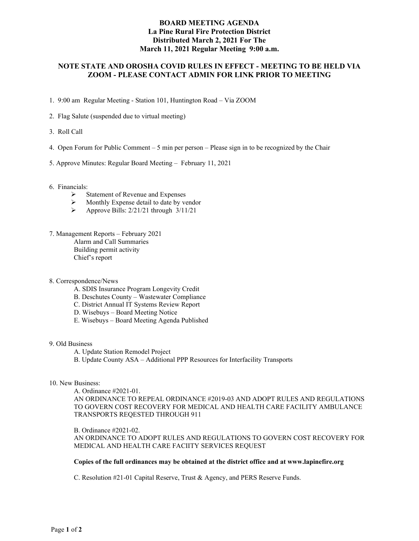## **BOARD MEETING AGENDA La Pine Rural Fire Protection District Distributed March 2, 2021 For The March 11, 2021 Regular Meeting 9:00 a.m.**

# **NOTE STATE AND OROSHA COVID RULES IN EFFECT - MEETING TO BE HELD VIA ZOOM - PLEASE CONTACT ADMIN FOR LINK PRIOR TO MEETING**

- 1. 9:00 am Regular Meeting Station 101, Huntington Road Via ZOOM
- 2. Flag Salute (suspended due to virtual meeting)
- 3. Roll Call
- 4. Open Forum for Public Comment 5 min per person Please sign in to be recognized by the Chair
- 5. Approve Minutes: Regular Board Meeting February 11, 2021
- 6. Financials:
	- Statement of Revenue and Expenses<br>  $\triangleright$  Monthly Expense detail to date by ve
	- Monthly Expense detail to date by vendor
	- $\triangleright$  Approve Bills: 2/21/21 through 3/11/21
- 7. Management Reports February 2021 Alarm and Call Summaries Building permit activity Chief's report
- 8. Correspondence/News
	- A. SDIS Insurance Program Longevity Credit
	- B. Deschutes County Wastewater Compliance
	- C. District Annual IT Systems Review Report
	- D. Wisebuys Board Meeting Notice
	- E. Wisebuys Board Meeting Agenda Published

#### 9. Old Business

- A. Update Station Remodel Project
- B. Update County ASA Additional PPP Resources for Interfacility Transports

#### 10. New Business:

A. Ordinance #2021-01. AN ORDINANCE TO REPEAL ORDINANCE #2019-03 AND ADOPT RULES AND REGULATIONS TO GOVERN COST RECOVERY FOR MEDICAL AND HEALTH CARE FACILITY AMBULANCE TRANSPORTS REQESTED THROUGH 911

B. Ordinance #2021-02.

AN ORDINANCE TO ADOPT RULES AND REGULATIONS TO GOVERN COST RECOVERY FOR MEDICAL AND HEALTH CARE FACIITY SERVICES REQUEST

#### **Copies of the full ordinances may be obtained at the district office and at www.lapinefire.org**

C. Resolution #21-01 Capital Reserve, Trust & Agency, and PERS Reserve Funds.